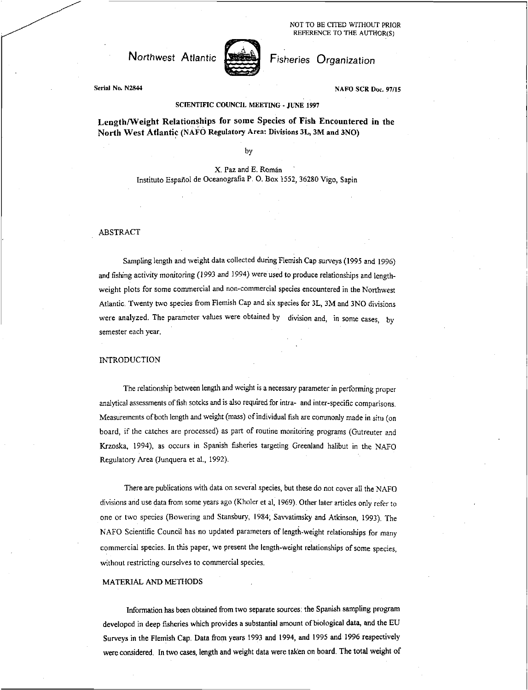NOT TO BE CITED WITHOUT PRIOR REFERENCE TO THE AUTHOR(S)

Northwest Atlantic Fisheries Organization



Serial No. N2844 NAFO SCR Doc. 97/15

# SCIENTIFIC COUNCIL MEETING • JUNE 1997

Length/Weight Relationships for some Species of Fish Encountered in the North West Atlantic (NAFO Regulatory Area: Divisions 31, 3M and 3NO)

by

X. Paz and E. Roman Instituto Español de Oceanografia P. O. Box 1552, 36280 Vigo, Sapin

#### ABSTRACT

Sampling length and weight data collected during Flemish Cap surveys (1995 and 1996) and fishing activity monitoring (1993 and 1994) were used to produce relationships and lengthweight plots for some commercial and non-commercial species encountered in the Northwest Atlantic. Twenty two species from Flemish Cap and six species for 3L, 3M and 3NO divisions were analyzed. The parameter values were obtained by division and, in some cases, by semester each year.

### INTRODUCTION

The relationship between length and weight is a necessary parameter in performing proper analytical assessments of fish sotcks and is also required for infra- and inter-specific comparisons. Measurements of both length and weight (mass) of individual fish are commonly made in situ (on board, if the catches are processed) as part of routine monitoring programs (Gutreuter and Krzoska, 1994), as occurs in Spanish fisheries targeting Greenland halibut in the NAFO Regulatory Area (Junquera et al., 1992).

There are publications with data on several species, but these do not cover all the NAFO divisions and use data from some years ago (Kholer et al, 1969). Other later articles only refer to one or two species (Bowering and Stansbury, 1984; Savvatimsky and Atkinson, 1993). The NAFO Scientific Council has no updated parameters of length-weight relationships for many commercial species. In this paper, we present the length-weight relationships of some species, without restricting ourselves to commercial species.

#### MATERIAL AND METHODS

Information has been obtained from two separate sources: the Spanish sampling program developed in deep fisheries which provides a substantial amount of biological data, and the EU Surveys in the Flemish Cap. Data from years 1993 and 1994, and 1995 and 1996 respectively were considered. In two cases, length and weight data were taken on board. The total weight of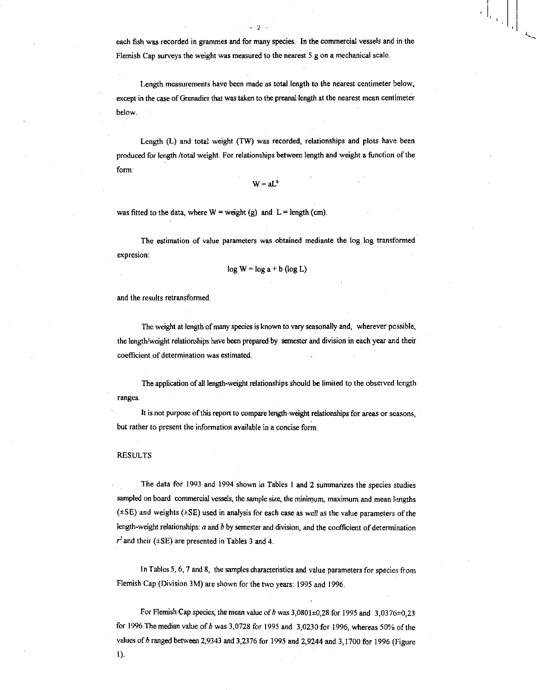each fish was recorded in grammes and for many species. In the commercial vessels and in the Flemish Cap surveys the weight was measured to the nearest 5 g on a mechanical scale.

 $- 2 -$ 

Length measurements have been made as total length to the nearest centimeter below, except in the case of Grenadier that was taken to the preanal length at the nearest mean centimeter below.

Length (L) and total weight (TW) was recorded, relationships and plots have been produced for length /total weight. For relationships between length and weight a function of the form:

 $W = aL^b$ 

was fitted to the data, where  $W = weight(g)$  and  $L = length (cm)$ .

The estimation of value parameters was obtained mediante the log log transformed expresion:

$$
\log W = \log a + b (\log L)
$$

and the results retransformed.

The weight at length of many species is known to vary seasonally and, wherever possible, the length/weight relationships have been prepared by semester and division in each year and their coefficient of determination was estimated.

The application of all length-weight relationships should be limited to the observed length ranges.

It is not purpose of this report to compare length-weight relationships for areas or seasons, but rather to present the information available in a concise form.

### RESULTS

The data for 1993 and 1994 shown in Tables 1 and 2 summarizes the species studies sampled on board commercial vessels, the sample size, the minimum, maximum and mean lengths  $(±SE)$  and weights  $(±SE)$  used in analysis for each case as well as the value parameters of the length-weight relationships: *a* and b by semester and division, and the coefficient of determination  $r<sup>2</sup>$  and their ( $\pm$ SE) are presented in Tables 3 and 4.

In Tables 5, 6, 7 and 8, the samples characteristics and value parameters for species from Flemish Cap (Division 3M) are shown for the two years: 1995 and 1996.

For Flemish Cap species, the mean value of b was  $3,0801\pm0,28$  for 1995 and  $3,0376\pm0,23$ for 1996. The median value of  $b$  was 3,0728 for 1995 and 3,0230 for 1996, whereas 50% of the values of  $b$  ranged between 2,9343 and 3,2376 for 1995 and 2,9244 and 3,1700 for 1996 (Figure

1).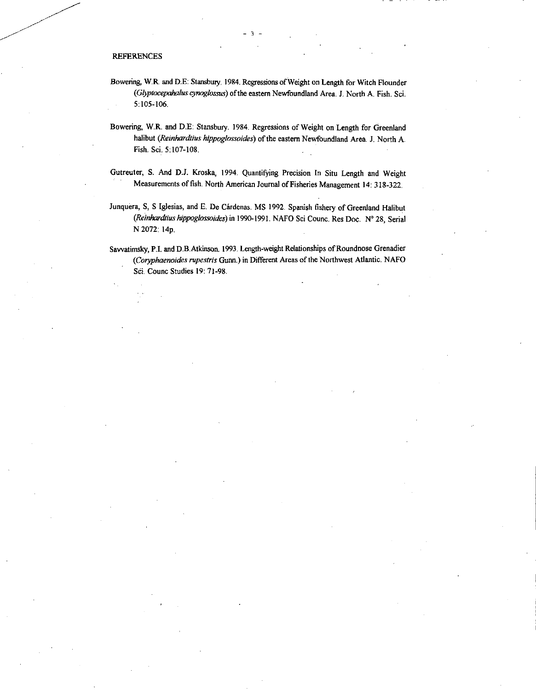## REFERENCES

Dowering, W.R. and D.E: Stansbury. 1984. Regressions of Weight on Length for Witch Flounder *(Glyptocepahalus cynoglossus)* of the eastern Newfoundland Area. J. North A. Fish. Sci. 5:105-106.

- 3 -

- Dowering, W.R. and D.E. Stansbury. 1984. Regressions of Weight on Length for Greenland halibut *(Reinhardtius hippoglossoides)* of the eastern Newfoundland Area. J. North A. Fish. Sci. 5:107-108.
- Gutreuter, S. And D.J. Kroska, 1994. Quantifying Precision In Situ Length and Weight Measurements of fish. North American Journal of Fisheries Management 14: 318-322.
- Junquera, S, S Iglesias, and E. De Cardenas. MS 1992. Spanish fishery of Greenland Halibut *(Reinhardtius hippoglossoides)* in 1990-1991. NAFO Sci Counc. Res Doc. N° 28, Serial N 2072:14p.

Savvatimsky, P.I. and D.B.Atkinson. 1993. Length-weight Relationships of Roundnose Grenadier *(Coryphaenoides rupestris* Gunn.) in Different Areas of the Northwest Atlantic. NAFO Sci. Counc Studies 19: 71-98.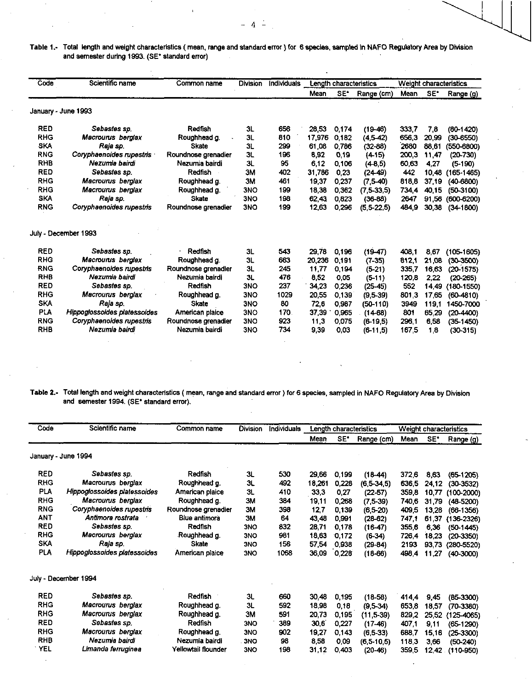Table 1.- Total length and weight characteristics (mean, range and standard error) for 6 species, sampled in NAFO Regulatory Area by Division and semester during 1993. (SE\* standard error)

| Code       | Scientific name              | Common name         | <b>Division</b> | <b>Individuals</b> |        |       | Length characteristics | Weight characteristics |                 |                |
|------------|------------------------------|---------------------|-----------------|--------------------|--------|-------|------------------------|------------------------|-----------------|----------------|
|            |                              |                     |                 |                    | Mean   | SE.   | Range (cm)             | Mean                   | SE <sup>*</sup> | Range (g)      |
|            | January - June 1993          |                     |                 |                    |        |       |                        |                        |                 |                |
| <b>RED</b> | Sebastes sp.                 | Redfish             | 31              | 656                | 28,53  | 0.174 | $(19 - 46)$            | 333.7                  | 7.8             | $(80-1420)$    |
| <b>RHG</b> | Macrourus berglax            | Roughhead g.        | 3L              | 810                | 17 976 | 0182  | $(4.5-42)$             | 656,3                  | 20.99           | $(30 - 6550)$  |
| <b>SKA</b> | Raja sp.                     | <b>Skate</b>        | 3L              | 299                | 61,08  | 0.786 | $(32 - 88)$            | 2680                   | 88.61           | $(550 - 6800)$ |
| <b>RNG</b> | Coryphaenoides rupestris     | Roundnose grenadier | 3L              | 196                | 8,92   | 0.19  | $(4-15)$               | 200,3                  | 11.47           | $(20-730)$     |
| <b>RHB</b> | Nezumia bairdi               | Nezumia bairdi      | 3L              | 95                 | 6.12   | 0.106 | $(4-8.5)$              | 60.63                  | 4.27            | $(5-190)$      |
| <b>RED</b> | Sebastes sp.                 | Redfish             | 3M              | 402                | 31.786 | 0,23  | $(24-49)$              | 442                    | 10.48           | $(165-1465)$   |
| <b>RHG</b> | Macrourus berglax            | Roughhead g.        | 3M              | 461                | 19,37  | 0.237 | $(7.5-40)$             | 818,8                  | 37,19           | $(40-6800)$    |
| <b>RHG</b> | Macrourus berglax            | Roughhead g.        | 3NO             | 199                | 18,38  | 0362  | $(7,5-33,5)$           | 734.4                  | 40.15           | $(50-3100)$    |
| <b>SKA</b> | Raja sp.                     | <b>Skate</b>        | 3NO             | 198                | 62.43  | 0.823 | $(36-88)$              | 2647                   | 91.56           | $(600-6200)$   |
| <b>RNG</b> | Coryphaenoides rupestris     | Roundnose grenadier | 3NO             | 199                | 12,63  | 0.296 | $(5,5-22,5)$           | 484,9                  | 30,38           | $(34-1800)$    |
|            | July - December 1993         |                     |                 |                    |        |       |                        |                        |                 |                |
| <b>RED</b> | Sebastes sp.                 | Redfish             | 3L              | 543                | 29,78  | 0.196 | $(19-47)$              | 408.1                  | 8.67            | $(105 - 1605)$ |
| <b>RHG</b> | Macrourus berglax            | Roughhead g.        | 3L              | 663                | 20.236 | 0.191 | $(7-35)$               | 812.1                  | 21.08           | $(30-3500)$    |
| <b>RNG</b> | Coryphaenoides rupestris     | Roundnose grenadier | 3L              | 245                | 11.77  | 0.194 | $(5-21)$               | 335,7                  | 16,63           | $(20-1575)$    |
| <b>RHB</b> | Nezumia bairdi               | Nezumia bairdi      | 3L              | 476                | 8.52   | 0.05  | $(5-11)$               | 120,8                  | 2.22            | $(20-265)$     |
| <b>RED</b> | Sebastes sp.                 | Redfish             | 3NO             | 237                | 34.23  | 0.236 | $(25-45)$              | 552                    | 14.49           | $(180 - 1550)$ |
| <b>RHG</b> | Macrourus berglax            | Roughhead g.        | 3NO             | 1029               | 20,55  | 0.139 | $(9.5-39)$             | 801,3                  | 17,65           | $(60 - 4810)$  |
| <b>SKA</b> | Raia sp.                     | <b>Skate</b>        | 3NO             | 80                 | 72,6   | 0.987 | $(50-110)$             | 3949                   | 119.1           | 1450-7000      |
| <b>PLA</b> | Hippoglossoides platessoides | American plaice     | 3NO             | 170.               | 37,39  | 0.965 | $(14-68)$              | 801                    | 65.29           | $(20-4400)$    |
| <b>RNG</b> | Coryphaenoides rupestris     | Roundnose grenadier | 3NO             | 923                | 11,3   | 0.075 | (6.19,5)               | 296,1                  | 6.58            | $(35-1450)$    |
| <b>RHB</b> | Nezumia bairdi               | Nezumia bairdi      | 3NO             | 734                | 9,39   | 0,03  | $(6-11,5)$             | 167,5                  | 1.8             | (30.315)       |

Table 2.- Total length and weight characteristics ( mean, range and standard error ) for 6 species, sampled in NAFO Regulatory Area by Division and semester 1994. (SE\* standard error).

| Code       | Scientific name              | Common name          | <b>Division</b> | <b>Individuals</b> |        |       | Length characteristics | Weight characteristics |                 |                |
|------------|------------------------------|----------------------|-----------------|--------------------|--------|-------|------------------------|------------------------|-----------------|----------------|
|            |                              |                      |                 |                    | Mean   | SE*   | Range (cm)             | Mean                   | SE <sup>*</sup> | Range (g)      |
|            | January - June 1994          |                      |                 |                    |        |       |                        |                        |                 |                |
| <b>RED</b> | Sebastes sp.                 | Redfish              | 3L              | 530                | 29,66  | 0.199 | $(18-44)$              | 372,6                  | 8.63            | $(65-1205)$    |
| <b>RHG</b> | Macrourus berglax            | Roughhead g.         | 3 <sub>L</sub>  | 492                | 18.261 | 0.228 | $(6,5-34,5)$           | 636,5                  | 24,12           | $(30-3532)$    |
| PLA        | Hippoglossoides platessoides | American plaice      | 3L              | 410                | 33,3   | 0,27  | $(22-57)$              | 359,8                  | 10.77           | $(100-2000)$   |
| RHG        | Macrourus berglax            | Roughhead g.         | 3M              | 384                | 19,11  | 0.268 | $(7.5-39)$             | 740,6                  | 31,79           | $(48-5200)$    |
| RNG        | Coryphaenoides rupestris     | Roundnose grenadier  | 3M              | 398                | 12,7   | 0.139 | $(6.5-20)$             | 409,5                  | 13,28           | $(66-1356)$    |
| <b>ANT</b> | Antimora rostrata            | <b>Blue antimora</b> | 3M              | 64                 | 43,48  | 0.991 | $(28-62)$              | 747.1                  | 61.37           | $(136-2326)$   |
| <b>RED</b> | Sebastes sp.                 | Redfish              | 3NO             | 832                | 28,71  | 0.178 | $(16-47)$              | 355,6                  | 6.36            | $(50-1445)$    |
| <b>RHG</b> | Macrourus berglax            | Roughhead g.         | 3NO             | 981                | 18,63  | 0.172 | $(6-34)$               | 726,4                  | 18,23           | $(20-3350)$    |
| <b>SKA</b> | Raja sp.                     | <b>Skate</b>         | 3NO             | 156                | 57,54  | 0.938 | $(29-84)$              | 2193                   | 93.73           | $(280 - 5520)$ |
| <b>PLA</b> | Hippoglossoides platessoides | American plaice      | <b>3NO</b>      | 1068               | 36,09  | 0.228 | $(18-66)$              | 498,4                  | 11,27           | $(40-3000)$    |
|            | July - December 1994         |                      |                 |                    |        |       |                        |                        |                 |                |
| <b>RED</b> | Sebastes sp.                 | Redfish              | 3L              | 660                | 30,48  | 0.195 | $(18-58)$              | 414,4                  | 945             | $(85-3300)$    |
| <b>RHG</b> | Macrourus berglax            | Roughhead g.         | 3L              | 592                | 18,98  | 0,18  | $(9.5-34)$             | 653,8                  | 18,57           | $(70-3380)$    |
| <b>RHG</b> | Macrourus berglax            | Roughhead g.         | ЗM              | 591                | 20,73  | 0,195 | $(11,5-39)$            | 829,2                  | 25.52           | $(125 - 4065)$ |
| <b>RED</b> | Sebastes sp.                 | Redfish              | <b>3NO</b>      | 389                | 30,6   | 0.227 | $(17-46)$              | 407.1                  | 9.11            | $(65-1290)$    |
| <b>RHG</b> | Macrourus berglax            | Roughhead g.         | 3NO             | 902                | 19,27  | 0,143 | $(6.5-33)$             | 688,7                  | 15,16           | $(25-3300)$    |
| RHB        | Nezumia bairdi               | Nezumia bairdi       | 3NO             | 98                 | 8,58   | 0,09  | $(6, 5 - 10, 5)$       | 118,3                  | 3.66            | $(50-240)$     |
| <b>YEL</b> | Limanda ferruginea           | Yellowtail flounder  | 3NO             | 198                | 31,12  | 0.403 | $(20-46)$              | 359,5                  | 12,42           | $(110 - 950)$  |

 $- 4 -$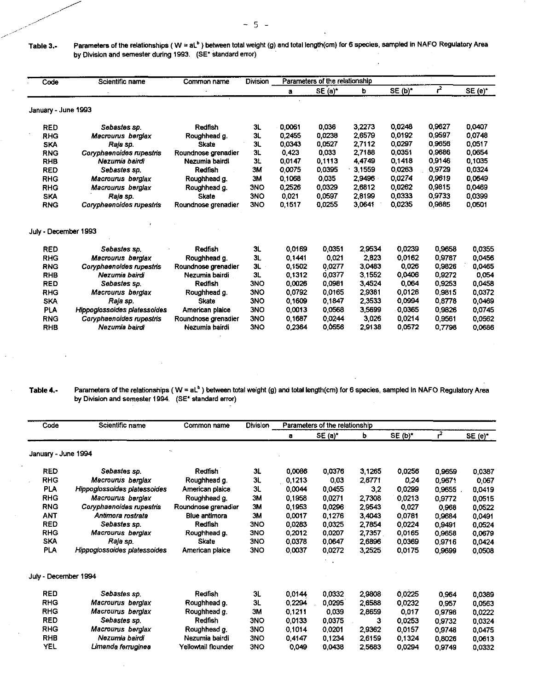Table 3.- Parameters of the relationships ( $W = aL<sup>b</sup>$ ) between total weight (g) and total length(cm) for 6 species, sampled in NAFO Regulatory Area by Division and semester during 1993, (SE\* standard error)

| Code                 | Scientific name              | Common name         | Division   |        | Parameters of the relationship |        |         |        |           |
|----------------------|------------------------------|---------------------|------------|--------|--------------------------------|--------|---------|--------|-----------|
|                      |                              |                     |            | a      | $SE(a)^*$                      | b      | SE (b)* | $r^2$  | $SE(e)^*$ |
| January - June 1993  |                              |                     |            |        |                                |        |         |        |           |
| <b>RED</b>           | Sebastes sp.                 | <b>Redfish</b>      | 3L         | 0.0061 | 0.036                          | 3,2273 | 0.0248  | 0,9627 | 0.0407    |
| <b>RHG</b>           | Macrourus berglax            | Roughhead g.        | 3L         | 0.2455 | 0.0238                         | 2,6579 | 0,0192  | 0,9597 | 0.0748    |
| <b>SKA</b>           | Raia sp.                     | <b>Skate</b>        | 3L         | 0.0343 | 0.0527                         | 2.7112 | 0.0297  | 0,9656 | 0.0517    |
| <b>RNG</b>           | Coryphaenoides rupestris     | Roundnose grenadier | 3L         | 0.423  | 0,033                          | 2.7188 | 0,0351  | 0,9686 | 0.0654    |
| <b>RHB</b>           | Nezumia bairdi               | Nezumia bairdi      | 3L         | 0,0147 | 01113                          | 4.4749 | 0,1418  | 0.9146 | 0,1035    |
| <b>RED</b>           | Sebastes sp.                 | Redfish             | <b>3M</b>  | 0.0075 | 0.0395                         | 3,1559 | 0,0263  | 0,9729 | 0.0324    |
| <b>RHG</b>           | Macrourus berglax            | Roughhead g.        | 3M         | 0,1068 | 0,035                          | 2,9496 | 0,0274  | 0.9619 | 0,0649    |
| <b>RHG</b>           | Macrourus berglax            | Roughhead g.        | <b>3NO</b> | 0.2526 | 0.0329                         | 2,6812 | 0.0262  | 0,9815 | 0.0469    |
| <b>SKA</b>           | Raja sp.                     | Skate               | <b>3NO</b> | 0.021  | 0.0597                         | 2,8199 | 0,0333  | 0.9733 | 0.0399    |
| <b>RNG</b>           | Coryphaenoides rupestris     | Roundnose grenadier | 3NO        | 0,1517 | 0.0255                         | 3,0641 | 0,0235  | 0,9885 | 0.0501    |
| July - December 1993 |                              |                     |            |        |                                |        |         |        |           |
| <b>RED</b>           | Sebastes sp.                 | Redfish             | 3L         | 0.0169 | 0.0351                         | 2.9534 | 0.0239  | 0,9658 | 0.0355    |
| <b>RHG</b>           | Macrourus berglax            | Roughhead g.        | 3L         | 0.1441 | 0.021                          | 2,823  | 0,0162  | 0,9787 | 0,0456    |
| <b>RNG</b>           | Coryphaenoides rupestns      | Roundnose grenadier | 3L         | 0.1502 | 0,0277                         | 3,0483 | 0.026   | 0.9826 | 0,0465    |
| <b>RHB</b>           | Nezumia bairdi               | Nezumia bairdi      | 3L         | 0,1312 | 0,0377                         | 3,1552 | 0,0406  | 0.9272 | 0,054     |
| <b>RED</b>           | Sebastes sp.                 | Redfish             | 3NO        | 0.0026 | 0.0981                         | 3,4524 | 0.064   | 0.9253 | 0.0458    |
| <b>RHG</b>           | Macrourus berglax            | Roughhead g.        | <b>3NO</b> | 0.0792 | 0.0165                         | 2.9381 | 0.0126  | 0.9815 | 0.0372    |
| <b>SKA</b>           | Raja sp.                     | Skate               | 3NO        | 0.1609 | 0.1847                         | 2,3533 | 0,0994  | 0.8778 | 0.0469    |
| <b>PLA</b>           | Hippoglossoides platessoides | American plaice     | <b>3NO</b> | 0.0013 | 0,0568                         | 3,5699 | 0,0365  | 0.9826 | 0.0745    |
| <b>RNG</b>           | Coryphaenoides rupestris     | Roundnose grenadier | <b>3NO</b> | 0.1687 | 0.0244                         | 3,026  | 0,0214  | 0.9561 | 0.0562    |
| <b>RHB</b>           | Nezumia bairdi               | Nezumia bairdi      | <b>3NO</b> | 0.2364 | 0,0556                         | 2,9138 | 0.0572  | 0.7798 | 0.0686    |

## Table 4.- Parameters of the relationships (W = aL<sup>b</sup>) between total weight (g) and total length(cm) for 6 species, sampled in NAFO Regulatory Area by Division and semester 1994. (SE• standard error)

| Code                 | Scientific name              | Common name         | <b>Division</b> |           | Parameters of the relationship |        |         |        | $SE(e)^*$<br>0.0387<br>0,067<br>0,0419<br>0.0515<br>0.0522<br>0.0491<br>0.0524<br>0.0679<br>0.0424<br>0.0508<br>0.0389<br>0,0563<br>0.0222<br>0.0324<br>0.0475 |
|----------------------|------------------------------|---------------------|-----------------|-----------|--------------------------------|--------|---------|--------|----------------------------------------------------------------------------------------------------------------------------------------------------------------|
|                      |                              |                     |                 | a         | SE (a)                         | b      | SE (b)* | $r^2$  |                                                                                                                                                                |
| January - June 1994  |                              | $\ddotsc$           |                 |           |                                |        |         |        |                                                                                                                                                                |
| <b>RED</b>           | Sebastes sp.                 | Redfish             | 3L              | 0,0086    | 0.0376                         | 3,1265 | 0,0256  | 0,9659 |                                                                                                                                                                |
| <b>RHG</b>           | Macrourus berglax            | Roughhead g.        | 3L              | 0,1213    | 0,03                           | 2,8771 | 0,24    | 0,9671 |                                                                                                                                                                |
| <b>PLA</b>           | Hippoglossoides platessoides | American plaice     | 3L              | 0,0044    | 0.0455                         | 3,2    | 0.0299  | 0,9655 |                                                                                                                                                                |
| <b>RHG</b>           | Macrourus berglax            | Roughhead g.        | 3M              | 0.1958    | 0.0271                         | 2,7308 | 0.0213  | 0.9772 |                                                                                                                                                                |
| <b>RNG</b>           | Coryphaenoides rupestris     | Roundnose grenadier | 3M              | 0,1953    | 0,0296                         | 2,9543 | 0,027   | 0,968  |                                                                                                                                                                |
| ANT                  | Antimora rostrata            | Blue antimora       | ЗΜ              | 0,0017    | 0,1276                         | 3,4043 | 0,0781  | 0.9684 |                                                                                                                                                                |
| <b>RED</b>           | Sebastes sp.                 | Redfish             | 3NO             | 0.0283    | 0,0325                         | 2,7854 | 0,0224  | 0.9491 |                                                                                                                                                                |
| <b>RHG</b>           | Macrourus berglax            | Roughhead g.        | 3NO             | 0.2012    | 0,0207                         | 2,7357 | 0,0165  | 0.9658 |                                                                                                                                                                |
| <b>SKA</b>           | Raja sp.                     | <b>Skate</b>        | 3NO             | 0.0378    | 0,0647                         | 2,6896 | 0,0369  | 0.9716 |                                                                                                                                                                |
| <b>PLA</b>           | Hippoglossoides platessoides | American plaice     | 3NO             | 0.0037    | 0,0272                         | 3,2525 | 0,0175  | 0,9699 |                                                                                                                                                                |
| July - December 1994 |                              |                     |                 |           |                                |        |         |        |                                                                                                                                                                |
| <b>RED</b>           | Sebastes sp.                 | Redfish             | 3L              | 0.0144    | 0.0332                         | 2,9808 | 0,0225  | 0,964  |                                                                                                                                                                |
| <b>RHG</b>           | Macrourus berglax            | Roughhead g.        | 3L              | 0 2 2 9 4 | 0,0295                         | 2,6588 | 0,0232  | 0,957  |                                                                                                                                                                |
| <b>RHG</b>           | Macrourus berglax            | Roughhead g.        | ЗΜ              | 0.1211    | 0,039                          | 2,8659 | 0,017   | 0,9798 |                                                                                                                                                                |
| <b>RED</b>           | Sebastes sp.                 | Redfish             | <b>3NO</b>      | 0,0133    | 0,0375                         | 3      | 0.0253  | 0.9732 |                                                                                                                                                                |
| <b>RHG</b>           | Macrourus berglax            | Roughhead g.        | <b>3NO</b>      | 0.1014    | 0.0201                         | 2,9362 | 0,0157  | 0.9748 |                                                                                                                                                                |
| <b>RHB</b>           | Nezumia bairdi               | Nezumia bairdi      | <b>3NO</b>      | 0,4147    | 0.1234                         | 2,6159 | 0.1324  | 0,8026 | 0.0613                                                                                                                                                         |
| YEL                  | Limanda ferruginea           | Yellowtail flounder | <b>3NO</b>      | 0,049     | 0,0438                         | 2,5683 | 0.0294  | 0.9749 | 0.0332                                                                                                                                                         |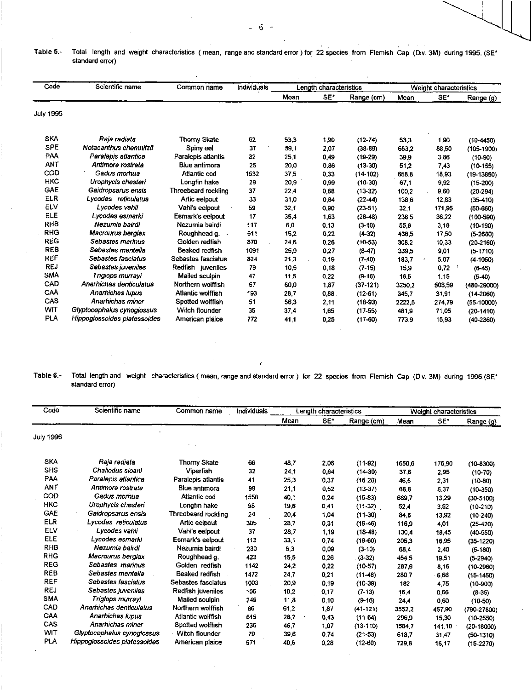## Table 5.- Total length and weight characteristics ( mean, range and standard error ) for 22 species from Flemish Cap (Div. 3M) during 1995. (SE\* standard error)

| Code       | Scientific name              | Common name         | Individuals |      | Length characteristics |              | Weight characteristics |        |               |  |
|------------|------------------------------|---------------------|-------------|------|------------------------|--------------|------------------------|--------|---------------|--|
|            |                              |                     |             | Mean | SE*                    | Range (cm)   | Mean                   | SE*    | Range (g)     |  |
| July 1995  |                              |                     |             |      |                        |              |                        |        |               |  |
| <b>SKA</b> | Raia radiata                 | Thorny Skate        | 62          | 53,3 | 1,90                   | $(12 - 74)$  | 53,3                   | 1,90   | $(10-4450)$   |  |
| <b>SPE</b> | Notacanthus chemnitzii       | Spiny eel           | 37          | 59,1 | 2,07                   | $(38-89)$    | 663.2                  | 88,50  | $(105-1900)$  |  |
| PAA        | Paralepis atlantica          | Paralepis atlantis  | 32          | 25.1 | 0,49                   | $(19-29)$    | 39,9                   | 3,86   | $(10-90)$     |  |
| <b>ANT</b> | Antimora rostrata            | Blue antimora       | 25          | 20.0 | 0,86                   | $(13-30)$    | 51,2                   | 7,43   | $(10-155)$    |  |
| COD        | Gagus morhua                 | Atlantic cod        | 1532        | 375  | 0,33                   | $(14 - 102)$ | 658.8                  | 18,93  | $(19-13850)$  |  |
| <b>HKC</b> | Urophycis chesteri           | Longfin hake        | 29          | 20,9 | 0,99                   | $(10-30)$    | 67.1                   | 9,92   | $(15-200)$    |  |
| <b>GAE</b> | Gaidropsarus ensis           | Threebeard rockling | 37          | 22.4 | 0,68                   | $(13-32)$    | 100.2                  | 9.60   | $(20-294)$    |  |
| <b>ELR</b> | Lycodes reticulatus          | Artic eelpout       | 33          | 31.0 | 0,84                   | $(22-44)$    | 138,6                  | 12,83  | $(35-410)$    |  |
| ELV        | Lycodes vahli                | Vahi's eelpout      | 59          | 32,1 | 0,90                   | $(23-51)$    | 32,1                   | 171,95 | $(50 - 660)$  |  |
| ELE        | Lvcodes esmarki              | Esmark's eelpout    | 17          | 35,4 | 1,63                   | $(28-48)$    | 238.5                  | 36,22  | $(100 - 590)$ |  |
| <b>RHB</b> | Nezumia bairdi               | Nezumia bairdi      | 117         | 6,0  | 0,13                   | $(3-10)$     | 55,8                   | 3,18   | $(10-190)$    |  |
| <b>RHG</b> | Macrourus bergiax            | Roughhead q.        | 511         | 15.2 | 0.22                   | $(4-32)$     | 436.5                  | 17,50  | $(5-2680)$    |  |
| <b>REG</b> | Sebastes marinus             | Golden redfish      | 870         | 24,6 | 0,26                   | $(10-53)$    | 308.2                  | 10,33  | $(20-2160)$   |  |
| <b>REB</b> | Sebastes mentella            | Beaked redfish      | 1091        | 25,9 | 0,27                   | $(8-47)$     | 339.5                  | 9,01   | $(5 - 1710)$  |  |
| <b>REF</b> | Sebastes fasciatus           | Sebastes fasciatus  | 824         | 21,3 | 0,19                   | $(7-40)$     | 183,7                  | 5,07   | $(4 - 1050)$  |  |
| <b>REJ</b> | Sebastes juveniles           | Redfish juveniles   | 79          | 10,5 | 0,18                   | $(7-15)$     | 15,9                   | 0,72   | $(6-45)$      |  |
| <b>SMA</b> | Triglops murrayi             | Mailed sculpin      | 47          | 11,5 | 0,22                   | $(9-16)$     | 16,5                   | 1,15   | $(5-40)$      |  |
| CAD        | Anarhichas denticulatus      | Northern wolffish   | 57          | 60,0 | 1,87                   | $(37-121)$   | 3250.2                 | 503,59 | $(480-29000)$ |  |
| CAA        | Anarhichas Iupus             | Atlantic wolffish   | 193         | 28,7 | 0.88.                  | $(12-61)$    | 345.7                  | 31,91  | $(14 - 2060)$ |  |
| CAS        | Anarhicnas minor             | Spotted wolffish    | 51          | 56.3 | 2,11                   | $(18-93)$    | 2222.5                 | 274.79 | $(55-10000)$  |  |
| WIT        | Glyptocephalus cynoglossus   | Witch flounder      | 35          | 37.4 | 1,65                   | $(17-55)$    | 481.9                  | 71,05  | $(20-1410)$   |  |
| PLA        | Hippoglossoides platessoides | American plaice     | 772         | 41.1 | 0,25                   | $(17-60)$    | 773.9                  | 15,93  | $(40-2360)$   |  |

Table 6.- Total length and weight characteristics ( mean, range and standard error ) for 22 species from Flemish Cap (Div. 3M) during 1996.(SE\* standard error)

| Code       | Scientific name              | Common name         | Individuals |      | Length characteristics |            |        | Weight characteristics |                 |
|------------|------------------------------|---------------------|-------------|------|------------------------|------------|--------|------------------------|-----------------|
|            |                              |                     |             | Mean | SE*                    | Range (cm) | Mean   | SE*                    | Range (g)       |
| July 1996  |                              |                     |             |      |                        |            |        |                        |                 |
| <b>SKA</b> | Raja radiata                 | <b>Thorny Skate</b> | 66          | 48.7 | 2,06                   | $(11-92)$  | 1650,6 | 176,90                 | $(10-8300)$     |
| <b>SHS</b> | Chaliodus sloani             | Viperfish           | 32          | 24.1 | 0,64                   | $(14-30)$  | 37.6   | 2,95                   | $(10-70)$       |
| PAA        | Paralepis atlantica          | Paraleois atlantis  | 41          | 25.3 | 0,37                   | $(16-28)$  | 46,5   | 2,31                   | $(10-80)$       |
| ANT        | Antimora rostrata            | Blue antimora       | 99          | 21.1 | 0,52                   | $(13-37)$  | 68,8   | 6,37                   | $(10-350)$      |
| COD        | Gadus morhua                 | Atlantic cod        | 1558        | 40.1 | 0,24                   | $(15-83)$  | 689.7  | 13,29                  | (30.5100)       |
| <b>HKC</b> | Uroohycis chesteri           | Longfin hake        | 98          | 19,6 | 0,41                   | $(11-32)$  | 52,4   | 3,52                   | $(10-210)$      |
| <b>GAE</b> | Gaidropsarus ensis           | Threebeard rockling | 24          | 20.4 | 1,04                   | $(11-30)$  | 84.8   | 13,92                  | $(10-240)$      |
| <b>ELR</b> | Lycodes reticulatus          | Artic eelpout       | 305         | 28.7 | 0,31                   | $(19-46)$  | 116.9  | 4.01                   | $(25-420)$      |
| <b>ELV</b> | Lycodes vahli                | Vahi's eelpout      | 37          | 28.7 | 1.19                   | $(18-48)$  | 130.4  | 18,45                  | $(40-550)$      |
| ELE        | Lycodes esmani               | Esmark's eelpout    | 113         | 33.1 | 0.74                   | $(19-60)$  | 205,3  | 16,95                  | $(35-1220)$     |
| <b>RHB</b> | Nezumia bairdi               | Nezumia bairdi      | 230         | 6,3  | 0,09                   | $(3-10)$   | 68.4   | 2,40                   | $(5-180)$       |
| <b>RHG</b> | Macrourus bergiax            | Roughhead g.        | 423         | 15,5 | 0,26                   | $(3-32)$   | 4545   | 19,51                  | $(5-2940)$      |
| <b>REG</b> | Sebastes marinus             | Golden redfish      | 1142        | 24.2 | 0,22                   | $(10-57)$  | 2879   | 8,16                   | $(10-2960)$     |
| <b>REB</b> | Sebastes mentella            | Beaked redfish      | 1472        | 24.7 | 0,21                   | $(11-48)$  | 280.7  | 6,66                   | (15.1450)       |
| <b>REF</b> | Sebastes fasciatus           | Sebastes fasciatus  | 1003        | 20.9 | 0.19                   | $(10-39)$  | 182    | 4,75                   | $(10-900)$      |
| <b>REJ</b> | Sebastes juveniles           | Redfish juveniles   | 106         | 10.2 | 0,17                   | $(7-13)$   | 16,4   | 0,66                   | $(8-35)$        |
| <b>SMA</b> | Triglops murrayi             | Mailed sculpin      | 249         | 11,8 | 0,10                   | $(9-16)$   | 24,4   | 0,60                   | $(10-50)$       |
| CAD        | Anarhichas denticulatus      | Northern wolffish   | 66          | 61,2 | 1,87                   | $(41-121)$ | 3552.2 | 457,90                 | $(790 - 27800)$ |
| CAA        | Anarhichas Iupus             | Atlantic wolffish   | 615         | 28,2 | 0.43                   | $(11-64)$  | 296.9  | 15,30                  | $(10 - 2550)$   |
| CAS        | Anarhichas minor             | Spotted wolffish    | 236         | 46.7 | 1,07                   | $(13-110)$ | 15847  | 141,10                 | $(20 - 18000)$  |
| <b>WIT</b> | Glyptocephalus cynoglossus   | Witch flounder      | 79          | 39,6 | 0.74                   | $(21-53)$  | 518.7  | 31,47                  | $(50-1310)$     |
| <b>PLA</b> | Hippoglossoides platessoides | American plaice     | 571         | 40,6 | 0,28                   | $(12-60)$  | 729,8  | 16,17                  | (15.2270)       |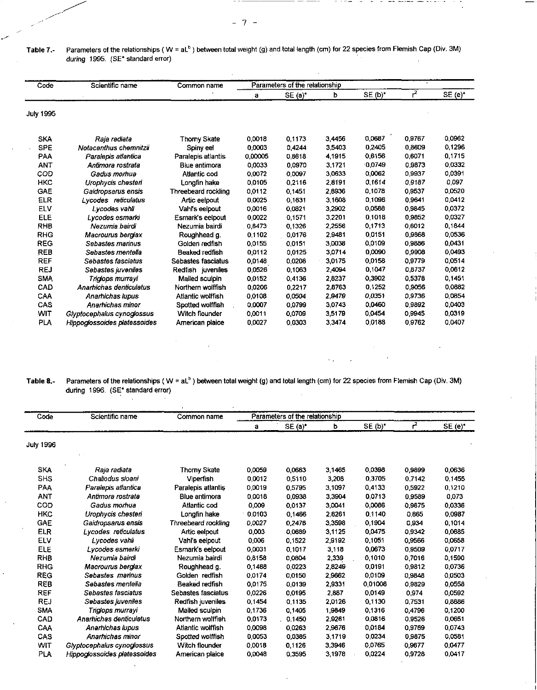$\sim$   $-$ 

| Table 7.- | Parameters of the relationships ( $W = aLb$ ) between total weight (g) and total length (cm) for 22 species from Flemish Cap (Div. 3M) |  |  |
|-----------|----------------------------------------------------------------------------------------------------------------------------------------|--|--|
|           | during 1995. (SE* standard error)                                                                                                      |  |  |

| Code             | Scientific name              | Common name           |         | Parameters of the relationship |        |           |        |                                                                                                                                                                                                                           |
|------------------|------------------------------|-----------------------|---------|--------------------------------|--------|-----------|--------|---------------------------------------------------------------------------------------------------------------------------------------------------------------------------------------------------------------------------|
|                  |                              |                       | a       | SE(a)                          | b      | $SE(b)^*$ | م      | $SE(e)^*$<br>0.0962<br>01296<br>0.1715<br>0.0332<br>0.0391<br>0.097<br>0.0520<br>0.0412<br>0.0372<br>0.0327<br>0.1844<br>0.0536<br>0.0431<br>0.0493<br>0.0514<br>0.0612<br>0.1451<br>0.0882<br>0.0854<br>0.0403<br>0.0319 |
| <b>July 1995</b> |                              |                       |         |                                |        |           |        |                                                                                                                                                                                                                           |
| <b>SKA</b>       | Raja radiata                 | Thorny Skate          | 0.0018  | 0.1173                         | 3.4456 | 0,0687    | 0.9767 |                                                                                                                                                                                                                           |
| <b>SPE</b>       | Notacanthus chemnitzii       | Spiny eel             | 0.0003  | 0.4244                         | 3.5403 | 0.2405    | 0.8609 |                                                                                                                                                                                                                           |
| PAA              | Paralepis atlantica          | Paralepis atlantis    | 0.00005 | 0.8618                         | 4.1915 | 0.6156    | 0.6071 |                                                                                                                                                                                                                           |
| <b>ANT</b>       | Antimora rostrata            | Blue antimora         | 0.0033  | 0.0970                         | 3.1721 | 0.0749    | 0.9873 |                                                                                                                                                                                                                           |
| COD              | Gadus momua                  | Atlantic cod          | 0.0072  | 0.0097                         | 3.0633 | 0.0062    | 0.9937 |                                                                                                                                                                                                                           |
| HKC              | Urophycis chesten            | Longfin hake          | 0.0105  | 0.2116                         | 2.8191 | 0.1614    | 0.9187 |                                                                                                                                                                                                                           |
| <b>GAE</b>       | Gaidropsarus ensis           | Threebeard rockling   | 0.0112  | 0.1451                         | 2.8936 | 0.1078    | 09537  |                                                                                                                                                                                                                           |
| <b>ELR</b>       | Lycodes reticulatus          | Artic eelpout         | 0.0025  | 0.1631                         | 3 1608 | 0 1096    | 0.9641 |                                                                                                                                                                                                                           |
| <b>ELV</b>       | Lycodes vahli                | Vahl's eelpout        | 0.0016  | 0.0821                         | 3.2902 | 0.0588    | 0.9845 |                                                                                                                                                                                                                           |
| ELE              | Lycodes esmarki              | Esmark's eelpout      | 0.0022  | 0.1571                         | 3.2201 | 01018     | 0.9852 |                                                                                                                                                                                                                           |
| <b>RHB</b>       | Nezumia bairdi               | Nezumia bairdi        | 0.8473  | 0,1326                         | 2.2556 | 0.1713    | 0.6012 |                                                                                                                                                                                                                           |
| <b>RHG</b>       | Macrourus berglax            | Roughhead g.          | 0.1102  | 0.0176                         | 2.9481 | 0.0151    | 0.9868 |                                                                                                                                                                                                                           |
| <b>REG</b>       | Sebastes marinus             | Golden redfish        | 0.0155  | 0.0151                         | 3.0038 | 0.0109    | 0.9886 |                                                                                                                                                                                                                           |
| <b>REB</b>       | Sebastes mentella            | <b>Beaked redfish</b> | 0.0112  | 0.0125                         | 3,0714 | 0.0090    | 0.9908 |                                                                                                                                                                                                                           |
| <b>REF</b>       | Sebastes fasciatus           | Sebastes fasciatus    | 0,0148  | 0.0208                         | 3,0175 | 0.0158    | 0.9779 |                                                                                                                                                                                                                           |
| <b>REJ</b>       | Sebastes juveniles           | Redfish juveniles     | 0.0526  | 0.1063                         | 2,4094 | 0.1047    | 0.8737 |                                                                                                                                                                                                                           |
| <b>SMA</b>       | Triglops murrayi             | Mailed sculpin        | 0.0152  | 0,4136                         | 2.8237 | 0.3902    | 0.5378 |                                                                                                                                                                                                                           |
| <b>CAD</b>       | Anarhichas denticulatus      | Northern wolffish     | 0.0206  | 0.2217                         | 2.8763 | 0.1252    | 0.9056 |                                                                                                                                                                                                                           |
| CAA              | Anamichas Iupus              | Atlantic wolffish     | 0.0108  | 0.0504                         | 2.9479 | 0.0351    | 0.9736 |                                                                                                                                                                                                                           |
| CAS              | Anamichas minor              | Spotted wolffish      | 0.0007  | 0,0799                         | 3.0743 | 0.0460    | 0.9892 |                                                                                                                                                                                                                           |
| <b>WIT</b>       | Glyptocephalus cynoglossus   | Witch flounder        | 0.0011  | 0.0709                         | 3.5179 | 0.0454    | 0.9945 |                                                                                                                                                                                                                           |
| <b>PLA</b>       | Hippoclossoides platessoides | American plaice       | 0.0027  | 0.0303                         | 3.3474 | 0.0188    | 09762  | 0.0407                                                                                                                                                                                                                    |

Table 8.- Parameters of the relationships (W = aL") between total weight (g) and total length (cm) for 22 species from Flemish Cap (Div. 3M) during 1996. (SE\* standard error)

| Code             | Scientific name              | Common name         |        | Parameters of the relationship |           |           |        |           |
|------------------|------------------------------|---------------------|--------|--------------------------------|-----------|-----------|--------|-----------|
|                  |                              |                     | a      | $SE(1)^*$                      | b         | $SE(b)^*$ | r      | $SE(e)^*$ |
| <b>July 1996</b> |                              |                     |        |                                |           |           |        |           |
| <b>SKA</b>       | Raia radiata                 | Thorny Skate        | 0.0059 | 0.0663                         | 3 1465    | 0.0398    | 0,9899 | 0.0636    |
| <b>SHS</b>       | Chaliodus sloani             | Viperfish           | 0.0012 | 0.5110                         | 3.208     | 03705     | 0.7142 | 0 1 4 5 5 |
| PAA              | Paralepis atlantica          | Paralepis atlantis  | 0.0019 | 05795                          | 3 1097    | 04133     | 0.5922 | 0.1210    |
| <b>ANT</b>       | Antimora rostrata            | Blue antimora       | 0.0018 | 0.0938                         | 3.3904    | 0.0713    | 0.9589 | 0,073     |
| COD              | Gadus morhua                 | Atlantic cod        | 0.009  | 0.0137                         | 3,0041    | 0.0086    | 0.9875 | 0,0336    |
| <b>HKC</b>       | Urophycis chesten            | Longfin hake        | 0.0103 | 0.1466                         | 2.8261    | 0.1140    | 0.865  | 0.0987    |
| GAE              | Gaidropsarus ensis           | Threebeard rockling | 0.0027 | 0.2476                         | 3,3598    | 0.1904    | 0.934  | 0,1014    |
| <b>ELR</b>       | Lycodes reticulatus          | Artic eelpout       | 0.003  | 0.0689                         | 3 1 1 2 5 | 0.0475    | 0,9342 | 0.0685    |
| ELV              | Lycodes vahli                | Vahi's eelpout      | 0.006  | 0.1522                         | 2,9192    | 0.1051    | 0.9566 | 0.0658    |
| <b>ELE</b>       | Lycodes esmarki              | Esmark's eelpout    | 0.0031 | 0.1017                         | 3.118     | 0.0673    | 0,9509 | 0.0717    |
| RHB              | Nezumia bairdi               | Nezumia bairdi      | 0.8158 | 0,0804                         | 2,339     | 0.1010    | 0.7016 | 0.1590    |
| <b>RHG</b>       | Macrourus berglax            | Roughhead g.        | 0.1488 | 0.0223                         | 2.8249    | 0.0191    | 0,9812 | 0.0736    |
| <b>REG</b>       | Sebastes marinus             | Golden redfish      | 0.0174 | 0.0150                         | 2.9662    | 0,0109    | 0,9848 | 0.0503    |
| <b>REB</b>       | Sebastes mentella            | Beaked redfish      | 0.0175 | 0.0139                         | 2,9331    | 0.01008   | 0.9829 | 0.0558    |
| <b>REF</b>       | Sebastes fasciatus           | Sebastes fasciatus  | 0.0226 | 0.0195                         | 2.887     | 0,0149    | 0974   | 0.0592    |
| <b>REJ</b>       | Sebastes juveniles           | Redfish juveniles   | 0.1454 | 01135                          | 2.0126    | 0.1130    | 0.7531 | 0.8886    |
| <b>SMA</b>       | Triglops murrayi             | Mailed sculpin      | 0.1736 | 0.1405                         | 1,9849    | 0.1316    | 0.4796 | 0.1200    |
| <b>CAD</b>       | Anarhichas denticulatus      | Northern wolffish   | 0.0173 | 0.1450                         | 2.9261    | 0.0816    | 0.9526 | 0.0651    |
| CAA              | Anarhichas lupus             | Atlantic wolffish   | 0.0098 | 0.0263                         | 2,9676    | 0.0184    | 0.9769 | 0.0743    |
| <b>CAS</b>       | Anarhichas minor             | Spotted wolffish    | 0.0053 | 0.0385                         | 3.1719    | 0.0234    | 0.9875 | 0.0581    |
| <b>WIT</b>       | Glyptocephalus cynoglossus   | Witch flounder      | 0.0018 | 0.1126                         | 3.3946    | 0.0765    | 0.9677 | 0.0477    |
| PLA              | Hippoglossoides platessoides | American plaice     | 0.0048 | 0.3595                         | 3.1978    | 0,0224    | 0.9728 | 0.0417    |